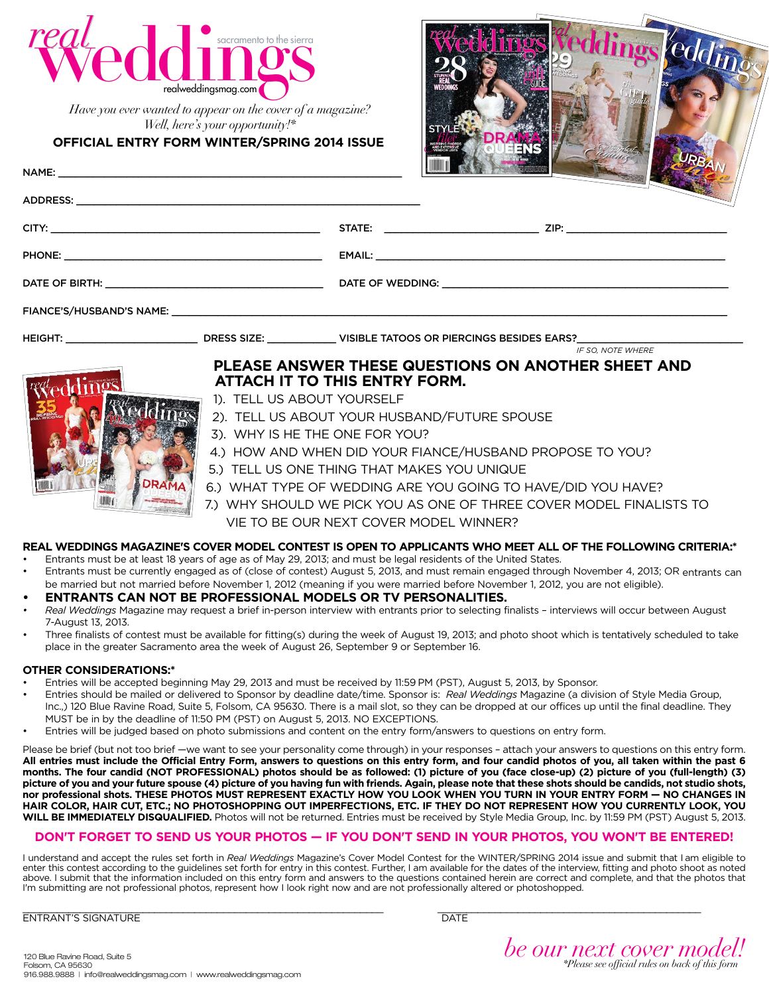

*Have you ever wanted to appear on the cover of a magazine? Well, here's your opportunity!\**

### **Official Entry Form WINTER/SPRING 2014 Issue**

Name: \_\_\_\_\_\_\_\_\_\_\_\_\_\_\_\_\_\_\_\_\_\_\_\_\_\_\_\_\_\_\_\_\_\_\_\_\_\_\_\_\_\_\_\_\_\_\_\_\_\_\_\_\_\_\_\_\_\_\_\_

Address: \_\_\_\_\_\_\_\_\_\_\_\_\_\_\_\_\_\_\_\_\_\_\_\_\_\_\_\_\_\_\_\_\_\_\_\_\_\_\_\_\_\_\_\_\_\_\_\_\_\_\_\_\_\_\_\_\_\_\_\_



|                                                                                                                          |  | STATE: ___________________________________ ZIP: ________________________________                                                        |                          |
|--------------------------------------------------------------------------------------------------------------------------|--|-----------------------------------------------------------------------------------------------------------------------------------------|--------------------------|
|                                                                                                                          |  |                                                                                                                                         |                          |
|                                                                                                                          |  |                                                                                                                                         |                          |
|                                                                                                                          |  |                                                                                                                                         |                          |
|                                                                                                                          |  | HEIGHT: ____________________________DRESS SIZE: _____________VISIBLE TATOOS OR PIERCINGS BESIDES EARS?_________________________________ | <b>IF SO. NOTE WHERE</b> |
| PLEASE ANSWER THESE QUESTIONS ON ANOTHER SHEET AND<br><b>ATTACH IT TO THIS ENTRY FORM.</b><br>1). TELL US ABOUT YOURSELF |  |                                                                                                                                         |                          |
|                                                                                                                          |  | 2). TELL US ABOUT YOUR HUSBAND/FUTURE SPOUSE                                                                                            |                          |

- 3). Why is he the one for you?
- 4.) How and when did your fiance/husband propose to you?
- 5.) Tell us one thing that makes you unique
- 6.) What type of wedding are you going to have/did you have?
- 7.) Why should we pick you as ONE OF THREE COVER MODEL FINALISTS TO VIE TO BE our next cover model WINNER?

## **Real Weddings Magazine's Cover Model Contest is open to applicants who meet all of the following criteria:\***

- Entrants must be at least 18 years of age as of May 29, 2013; and must be legal residents of the United States. • Entrants must be currently engaged as of (close of contest) August 5, 2013, and must remain engaged through November 4, 2013; OR entrants can be married but not married before November 1, 2012 (meaning if you were married before November 1, 2012, you are not eligible).
- **• Entrants can not be professional models or TV personalities.**
- *• Real Weddings* Magazine may request a brief in-person interview with entrants prior to selecting finalists interviews will occur between August 7-August 13, 2013.
- Three finalists of contest must be available for fitting(s) during the week of August 19, 2013; and photo shoot which is tentatively scheduled to take place in the greater Sacramento area the week of August 26, September 9 or September 16.

### **Other Considerations:\***

- Entries will be accepted beginning May 29, 2013 and must be received by 11:59 PM (PST), August 5, 2013, by Sponsor.
- Entries should be mailed or delivered to Sponsor by deadline date/time. Sponsor is: *Real Weddings* Magazine (a division of Style Media Group, Inc.,) 120 Blue Ravine Road, Suite 5, Folsom, CA 95630. There is a mail slot, so they can be dropped at our offices up until the final deadline. They MUST be in by the deadline of 11:50 PM (PST) on August 5, 2013. NO EXCEPTIONS.
- Entries will be judged based on photo submissions and content on the entry form/answers to questions on entry form.

Please be brief (but not too brief —we want to see your personality come through) in your responses - attach your answers to questions on this entry form. **All entries must include the Official Entry Form, answers to questions on this entry form, and four candid photos of you, all taken within the past 6 months. The four candid (NOT PROFESSIONAL) photos should be as followed: (1) picture of you (face close-up) (2) picture of you (full-length) (3) picture of you and your future spouse (4) picture of you having fun with friends. Again, please note that these shots should be candids, not studio shots,**  nor professional shots. THESE PHOTOS MUST REPRESENT EXACTLY HOW YOU LOOK WHEN YOU TURN IN YOUR ENTRY FORM - NO CHANGES IN **HAIR COLOR, HAIR CUT, ETC.; NO PHOTOSHOPPING OUT IMPERFECTIONS, ETC. IF THEY DO NOT REPRESENT HOW YOU CURRENTLY LOOK, YOU WILL BE IMMEDIATELY DISQUALIFIED.** Photos will not be returned. Entries must be received by Style Media Group, Inc. by 11:59 PM (PST) August 5, 2013.

# **DON'T FORGET TO SEND US YOUR PHOTOS — IF YOU DON'T SEND IN YOUR PHOTOS, YOU WON'T BE ENTERED!**

I understand and accept the rules set forth in *Real Weddings* Magazine's Cover Model Contest for the WINTER/SPRING 2014 issue and submit that I am eligible to enter this contest according to the guidelines set forth for entry in this contest. Further, I am available for the dates of the interview, fitting and photo shoot as noted above. I submit that the information included on this entry form and answers to the questions contained herein are correct and complete, and that the photos that I'm submitting are not professional photos, represent how I look right now and are not professionally altered or photoshopped.

\_\_\_\_\_\_\_\_\_\_\_\_\_\_\_\_\_\_\_\_\_\_\_\_\_\_\_\_\_\_\_\_\_\_\_\_\_\_\_\_\_\_\_\_\_\_\_\_\_\_\_\_\_\_\_\_\_\_\_\_\_\_\_ \_\_\_\_\_\_\_\_\_\_\_\_\_\_\_\_\_\_\_\_\_\_\_\_\_\_\_\_\_\_\_\_\_\_\_\_\_\_\_\_\_\_\_\_\_\_ ENTRANT'S SIGNATURE **Extractant Contract Contract Contract Contract Contract Contract Contract Contract Contract Contract Contract Contract Contract Contract Contract Contract Contract Contract Contract Contract Contract C** 

*be our next cover model! \*Please see official rules on back of this form* 120 Blue Ravine Road, Suite 5